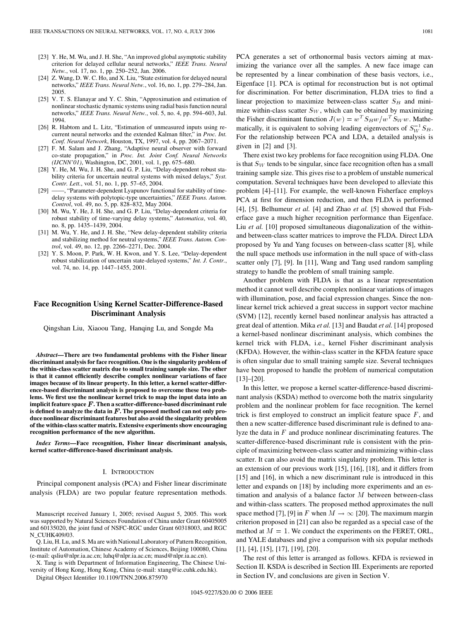- [23] Y. He, M. Wu, and J. H. She, "An improved global asymptotic stability criterion for delayed cellular neural networks," *IEEE Trans. Neural Netw.*, vol. 17, no. 1, pp. 250–252, Jan. 2006.
- [24] Z. Wang, D. W. C. Ho, and X. Liu, "State estimation for delayed neural networks," *IEEE Trans. Neural Netw.*, vol. 16, no. 1, pp. 279–284, Jan. 2005.
- [25] V. T. S. Elanayar and Y. C. Shin, "Approximation and estimation of nonlinear stochastic dynamic systems using radial basis function neural networks," *IEEE Trans. Neural Netw.*, vol. 5, no. 4, pp. 594–603, Jul. 1994.
- [26] R. Habtom and L. Litz, "Estimation of unmeasured inputs using recurrent neural networks and the extended Kalman filter," in *Proc. Int. Conf. Neural Network*, Houston, TX, 1997, vol. 4, pp. 2067–2071.
- [27] F. M. Salam and J. Zhang, "Adaptive neural observer with forward co-state propagation," in *Proc. Int. Joint Conf. Neural Networks (IJCNN'01)*, Washington, DC, 2001, vol. 1, pp. 675–680.
- [28] Y. He, M. Wu, J. H. She, and G. P. Liu, "Delay-dependent robust stability criteria for uncertain neutral systems with mixed delays," *Syst. Contr. Lett.*, vol. 51, no. 1, pp. 57–65, 2004.
- [29] ——, "Parameter-dependent Lyapunov functional for stability of timedelay systems with polytopic-type uncertainties," *IEEE Trans. Autom. Control*, vol. 49, no. 5, pp. 828–832, May 2004.
- [30] M. Wu, Y. He, J. H. She, and G. P. Liu, "Delay-dependent criteria for robust stability of time-varying delay systems," *Automatica*, vol. 40, no. 8, pp. 1435–1439, 2004.
- [31] M. Wu, Y. He, and J. H. She, "New delay-dependent stability criteria and stabilizing method for neutral systems," *IEEE Trans. Autom. Control*, vol. 49, no. 12, pp. 2266–2271, Dec. 2004.
- [32] Y. S. Moon, P. Park, W. H. Kwon, and Y. S. Lee, "Delay-dependent robust stabilization of uncertain state-delayed systems," *Int. J. Contr.*, vol. 74, no. 14, pp. 1447–1455, 2001.

# **Face Recognition Using Kernel Scatter-Difference-Based Discriminant Analysis**

Qingshan Liu, Xiaoou Tang, Hanqing Lu, and Songde Ma

*Abstract—***There are two fundamental problems with the Fisher linear discriminant analysis for face recognition. One is the singularity problem of the within-class scatter matrix due to small training sample size. The other is that it cannot efficiently describe complex nonlinear variations of face images because of its linear property. In this letter, a kernel scatter-difference-based discriminant analysis is proposed to overcome these two problems. We first use the nonlinear kernel trick to map the input data into an** implicit feature space F. Then a scatter-difference-based discriminant rule is defined to analyze the data in F. The proposed method can not only pro**duce nonlinear discriminant features but also avoid the singularity problem of the within-class scatter matrix. Extensive experiments show encouraging recognition performance of the new algorithm.**

*Index Terms—***Face recognition, Fisher linear discriminant analysis, kernel scatter-difference-based discriminant analysis.**

#### I. INTRODUCTION

Principal component analysis (PCA) and Fisher linear discriminate analysis (FLDA) are two popular feature representation methods.

Manuscript received January 1, 2005; revised August 5, 2005. This work was supported by Natural Sciences Foundation of China under Grant 60405005 and 60135020, the joint fund of NSFC-RGC under Grant 60318003, and RGC N\_CUHK409/03.

Q. Liu, H. Lu, and S. Ma are with National Laboratory of Pattern Recognition, Institute of Automation, Chinese Academy of Sciences, Beijing 100080, China (e-mail: qsliu@nlpr.ia.ac.cn; luhq@nlpr.ia.ac.cn; masd@nlpr.ia.ac.cn).

X. Tang is with Department of Information Engineering, The Chinese University of Hong Kong, Hong Kong, China (e-mail: xtang@ie.cuhk.edu.hk). Digital Object Identifier 10.1109/TNN.2006.875970

PCA generates a set of orthonormal basis vectors aiming at maximizing the variance over all the samples. A new face image can be represented by a linear combination of these basis vectors, i.e., Eigenface [\[1\].](#page-4-0) PCA is optimal for reconstruction but is not optimal for discrimination. For better discrimination, FLDA tries to find a linear projection to maximize between-class scatter  $S_B$  and minimize within-class scatter  $S_W$ , which can be obtained by maximizing the Fisher discriminant function  $J(w) = w^T S_B w/w^T S_W w$ . Mathemize within-class scatter  $S_W$ , which can be obtained by maximitude Fisher discriminant function  $J(w) = w^T S_B w/w^T S_W w$ . Manatically, it is equivalent to solving leading eigenvectors of  $S_{W}^{-1}$ matically, it is equivalent to solving leading eigenvectors of  $S_W^{-1}S_B$ . For the relationship between PCA and LDA, a detailed analysis is given in [\[2\]](#page-4-0) and [\[3\]](#page-4-0).

There exist two key problems for face recognition using FLDA. One is that  $S_W$  tends to be singular, since face recognition often has a small training sample size. This gives rise to a problem of unstable numerical computation. Several techniques have been developed to alleviate this problem [\[4\]–\[11\]](#page-4-0). For example, the well-known Fisherface employs PCA at first for dimension reduction, and then FLDA is performed [\[4\], \[5\].](#page-4-0) Belhumeur *et al.* [\[4\]](#page-4-0) and Zhao *et al.* [\[5\]](#page-4-0) showed that Fisherface gave a much higher recognition performance than Eigenface. Liu *et al.* [\[10\]](#page-4-0) proposed simultaneous diagonalization of the withinand between-class scatter matrices to improve the FLDA. Direct LDA proposed by Yu and Yang focuses on between-class scatter [\[8\]](#page-4-0), while the null space methods use information in the null space of with-class scatter only [\[7\]](#page-4-0), [\[9\].](#page-4-0) In [\[11\],](#page-4-0) Wang and Tang used random sampling strategy to handle the problem of small training sample.

Another problem with FLDA is that as a linear representation method it cannot well describe complex nonlinear variations of images with illumination, pose, and facial expression changes. Since the nonlinear kernel trick achieved a great success in support vector machine (SVM) [\[12\],](#page-4-0) recently kernel based nonlinear analysis has attracted a great deal of attention. Mika *et al.* [\[13\]](#page-4-0) and Baudat *et al.* [\[14\]](#page-4-0) proposed a kernel-based nonlinear discriminant analysis, which combines the kernel trick with FLDA, i.e., kernel Fisher discriminant analysis (KFDA). However, the within-class scatter in the KFDA feature space is often singular due to small training sample size. Several techniques have been proposed to handle the problem of numerical computation [\[13\]–\[20\].](#page-4-0)

In this letter, we propose a kernel scatter-difference-based discriminant analysis (KSDA) method to overcome both the matrix singularity problem and the nonlinear problem for face recognition. The kernel trick is first employed to construct an implicit feature space  $F$ , and then a new scatter-difference based discriminant rule is defined to analyze the data in  $F$  and produce nonlinear discriminating features. The scatter-difference-based discriminant rule is consistent with the principle of maximizing between-class scatter and minimizing within-class scatter. It can also avoid the matrix singularity problem. This letter is an extension of our previous work [\[15\]](#page-4-0), [\[16\], \[18\]](#page-4-0), and it differs from [\[15\]](#page-4-0) and [\[16\],](#page-4-0) in which a new discriminant rule is introduced in this letter and expands on [\[18\]](#page-4-0) by including more experiments and an estimation and analysis of a balance factor  $M$  between between-class and within-class scatters. The proposed method approximates the null space method [\[7\]](#page-4-0), [\[9\]](#page-4-0) in F when  $M \to \infty$  [\[20\].](#page-4-0) The maximum margin criterion proposed in [\[21\]](#page-4-0) can also be regarded as a special case of the method at  $M = 1$ . We conduct the experiments on the FERET, ORL, and YALE databases and give a comparison with six popular methods [\[1\], \[4\], \[15\], \[17\]](#page-4-0), [\[19\]](#page-4-0), [\[20\].](#page-4-0)

The rest of this letter is arranged as follows. KFDA is reviewed in [Section II](#page-1-0). KSDA is described in [Section III.](#page-1-0) Experiments are reported in [Section IV](#page-1-0), and conclusions are given in [Section V](#page-4-0).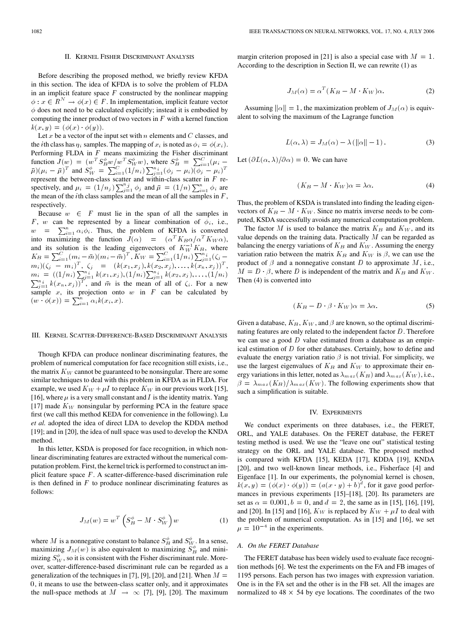#### II. KERNEL FISHER DISCRIMINANT ANALYSIS

<span id="page-1-0"></span>Before describing the proposed method, we briefly review KFDA in this section. The idea of KFDA is to solve the problem of FLDA in an implicit feature space  $F$  constructed by the nonlinear mapping  $\phi: x \in R^N \to \phi(x) \in F$ . In implementation, implicit feature vector  $\phi$  does not need to be calculated explicitly; instead it is embodied by computing the inner product of two vectors in  $F$  with a kernel function  $k(x, y) = (\phi(x) \cdot \phi(y)).$ 

Let x be a vector of the input set with  $n$  elements and  $C$  classes, and the *i*th class has  $\eta_i$  samples. The mapping of  $x_i$  is noted as  $\phi_i = \phi(x_i)$ . Performing FLDA in  $F$  means maximizing the Fisher discriminant function  $J(w) = (w^T S_B^{\phi} w / w^T S_W^{\phi} w)$ , where  $S_B^{\phi} = \sum_{i=1}^{C} (\mu_i \bar{\mu}$ )( $\mu_i - \bar{\mu}$ )<sup>T</sup> and  $S_W^{\phi} = \sum_{i=1}^C (1/n_i) \sum_{j=1}^{n_i} (\phi_j - \mu_i)(\phi_j - \mu_i)^T$ represent the between-class scatter and within-class scatter in  $F$  respectively, and  $\mu_i = (1/n_j) \sum_{j=1}^{n_j} \phi_j$  and  $\bar{\mu} = (1/n) \sum_{i=1}^{n} \phi_i$  are the mean of the *i*th class samples and the mean of all the samples in  $F$ , respectively.

Because  $w \in F$  must lie in the span of all the samples in F, w can be represented by a linear combination of  $\phi_i$ , i.e.,  $w = \sum_{i=1}^{n} \alpha_i \phi_i$ . Thus, the problem of KFDA is converted into maximizing the function  $J(\alpha) = (\alpha^T K_B \alpha/\alpha^T K_W \alpha)$ ,  $\mu$  =  $\sum_{i=1}^{n} \alpha_i \phi_i$ . Thus, the problem of KFDA is converted<br>into maximizing the function  $J(\alpha) = (\alpha^T K_B \alpha/\alpha^T K_W \alpha)$ ,<br>and its solution is the leading eigenvectors of  $K_W^{-1} K_B$ , where  $K_B = \sum_{i=1}^{C} (m_i - \bar{m})(m_i - \bar{m})^T$ ,  $K_W = \sum_{i=1}^{C} (1/n_i) \sum_{j=1}^{n_i} (\zeta_j - \bar{m})^T$  $(m_i)(\zeta_j - m_i)^T, \ \zeta_j = (k(x_1, x_j), k(x_2, x_j), \ldots, k(x_n, x_j))^T,$  $m_i = ((1/n_i) \sum_{j=1}^{n_i} k(x_1, x_j), (1/n_i) \sum_{j=1}^{n_i} k(x_2, x_j), \dots, (1/n_i) \sum_{j=1}^{n_i} k(x_n, x_j))^T$ , and  $\bar{m}$  is the mean of all of  $\zeta_i$ . For a new sample  $x$ , its projection onto  $w$  in  $F$  can be calculated by  $(w \cdot \phi(x)) = \sum_{i=1}^{n} \alpha_i k(x_i, x).$ 

### III. KERNEL SCATTER-DIFFERENCE-BASED DISCRIMINANT ANALYSIS

Though KFDA can produce nonlinear discriminating features, the problem of numerical computation for face recognition still exists, i.e., the matrix  $K_W$  cannot be guaranteed to be nonsingular. There are some similar techniques to deal with this problem in KFDA as in FLDA. For example, we used  $K_W + \mu I$  to replace  $K_W$  in our previous work [\[15\]](#page-4-0), [\[16\],](#page-4-0) where  $\mu$  is a very small constant and I is the identity matrix. Yang [\[17\]](#page-4-0) made  $K_W$  nonsingular by performing PCA in the feature space first (we call this method KEDA for convenience in the following). Lu *et al.* adopted the idea of direct LDA to develop the KDDA method [\[19\];](#page-4-0) and in [\[20\],](#page-4-0) the idea of null space was used to develop the KNDA method.

In this letter, KSDA is proposed for face recognition, in which nonlinear discriminating features are extracted without the numerical computation problem. First, the kernel trick is performed to construct an implicit feature space  $F$ . A scatter-difference-based discrimination rule is then defined in  $F$  to produce nonlinear discriminating features as follows:

$$
J_M(w) = w^T \left( S_B^{\phi} - M \cdot S_W^{\phi} \right) w \tag{1}
$$

where M is a nonnegative constant to balance  $S_B^{\phi}$  and  $S_{W}^{\phi}$ . In a sense, maximizing  $J_M(w)$  is also equivalent to maximizing  $S_B^{\phi}$  and minimizing  $S_W^{\phi}$ , so it is consistent with the Fisher discriminant rule. Moreover, scatter-difference-based discriminant rule can be regarded as a generalization of the techniques in [\[7\], \[9\], \[20\],](#page-4-0) and [\[21\]](#page-4-0). When  $M =$ 0, it means to use the between-class scatter only, and it approximates the null-space methods at  $M \rightarrow \infty$  [\[7\]](#page-4-0), [\[9\], \[20\].](#page-4-0) The maximum margin criterion proposed in [\[21\]](#page-4-0) is also a special case with  $M = 1$ . According to the description in Section II, we can rewrite (1) as

$$
J_M(\alpha) = \alpha^T (K_B - M \cdot K_W) \alpha. \tag{2}
$$

Assuming  $\|\alpha\| = 1$ , the maximization problem of  $J_M(\alpha)$  is equivalent to solving the maximum of the Lagrange function

$$
L(\alpha, \lambda) = J_M(\alpha) - \lambda \left( \|\alpha\| - 1 \right). \tag{3}
$$

Let  $(\partial L(\alpha,\lambda)/\partial \alpha)=0$ . We can have

$$
(K_B - M \cdot K_W)\alpha = \lambda \alpha. \tag{4}
$$

Thus, the problem of KSDA is translated into finding the leading eigenvectors of  $K_B - M \cdot K_W$ . Since no matrix inverse needs to be computed, KSDA successfully avoids any numerical computation problem.

The factor M is used to balance the matrix  $K_B$  and  $K_W$ , and its value depends on the training data. Practically  $M$  can be regarded as balancing the energy variations of  $K_B$  and  $K_W$ . Assuming the energy variation ratio between the matrix  $K_B$  and  $K_W$  is  $\beta$ , we can use the product of  $\beta$  and a nonnegative constant D to approximate M, i.e.,  $M = D \cdot \beta$ , where D is independent of the matrix and  $K_B$  and  $K_W$ . Then (4) is converted into

$$
(K_B - D \cdot \beta \cdot K_W)\alpha = \lambda \alpha. \tag{5}
$$

Given a database,  $K_B$ ,  $K_W$ , and  $\beta$  are known, so the optimal discriminating features are only related to the independent factor D. Therefore we can use a good  $D$  value estimated from a database as an empirical estimation of  $D$  for other databases. Certainly, how to define and evaluate the energy variation ratio  $\beta$  is not trivial. For simplicity, we use the largest eigenvalues of  $K_B$  and  $K_W$  to approximate their energy variations in this letter, noted as  $\lambda_{max}(K_B)$  and  $\lambda_{max}(K_W)$ , i.e.,  $\beta = \lambda_{max}(K_B)/\lambda_{max}(K_W)$ . The following experiments show that such a simplification is suitable.

#### IV. EXPERIMENTS

We conduct experiments on three databases, i.e., the FERET, ORL, and YALE databases. On the FERET database, the FERET testing method is used. We use the "leave one out" statistical testing strategy on the ORL and YALE database. The proposed method is compared with KFDA [\[15\],](#page-4-0) KEDA [\[17\]](#page-4-0), KDDA [\[19\]](#page-4-0), KNDA [\[20\],](#page-4-0) and two well-known linear methods, i.e., Fisherface [\[4\]](#page-4-0) and Eigenface [\[1\]](#page-4-0). In our experiments, the polynomial kernel is chosen,  $k(x, y) = (\phi(x) \cdot \phi(y)) = (a(x \cdot y) + b)^d$ , for it gave good performances in previous experiments [\[15\]–\[18\]](#page-4-0), [\[20\]](#page-4-0). Its parameters are set as  $\alpha = 0.001$ ,  $b = 0$ , and  $d = 2$ , the same as in [\[15\], \[16\], \[19\]](#page-4-0), and [\[20\].](#page-4-0) In [\[15\]](#page-4-0) and [\[16\],](#page-4-0)  $K_W$  is replaced by  $K_W + \mu I$  to deal with the problem of numerical computation. As in [\[15\]](#page-4-0) and [\[16\]](#page-4-0), we set and [20]. In [15] and [16],  $K_W$ <br>the problem of numerical con<br> $\mu = 10^{-4}$  in the experiments.

#### *A. On the FERET Database*

The FERET database has been widely used to evaluate face recognition methods [\[6\].](#page-4-0) We test the experiments on the FA and FB images of 1195 persons. Each person has two images with expression variation. One is in the FA set and the other is in the FB set. All the images are normalized to  $48 \times 54$  by eye locations. The coordinates of the two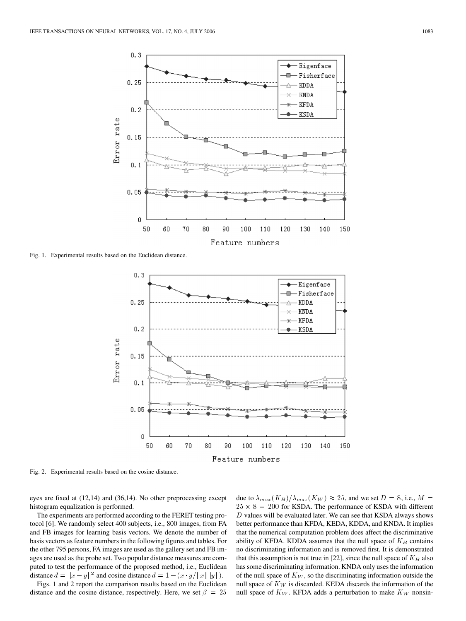

Fig. 1. Experimental results based on the Euclidean distance.



Fig. 2. Experimental results based on the cosine distance.

eyes are fixed at (12,14) and (36,14). No other preprocessing except histogram equalization is performed.

The experiments are performed according to the FERET testing protocol [\[6\].](#page-4-0) We randomly select 400 subjects, i.e., 800 images, from FA and FB images for learning basis vectors. We denote the number of basis vectors as feature numbers in the following figures and tables. For the other 795 persons, FA images are used as the gallery set and FB images are used as the probe set. Two popular distance measures are computed to test the performance of the proposed method, i.e., Euclidean distance  $d = ||x - y||^2$  and cosine distance  $d = 1 - (x \cdot y/||x|| ||y||)$ .

Figs. 1 and 2 report the comparison results based on the Euclidean distance and the cosine distance, respectively. Here, we set  $\beta = 25$  due to  $\lambda_{max}(K_B)/\lambda_{max}(K_W) \approx 25$ , and we set  $D = 8$ , i.e.,  $M =$  $25 \times 8 = 200$  for KSDA. The performance of KSDA with different  $D$  values will be evaluated later. We can see that KSDA always shows better performance than KFDA, KEDA, KDDA, and KNDA. It implies that the numerical computation problem does affect the discriminative ability of KFDA. KDDA assumes that the null space of  $K_B$  contains no discriminating information and is removed first. It is demonstrated that this assumption is not true in [\[22\]](#page-4-0), since the null space of  $K_B$  also has some discriminating information. KNDA only uses the information of the null space of  $K_W$ , so the discriminating information outside the null space of  $K_W$  is discarded. KEDA discards the information of the null space of  $K_W$ . KFDA adds a perturbation to make  $K_W$  nonsin-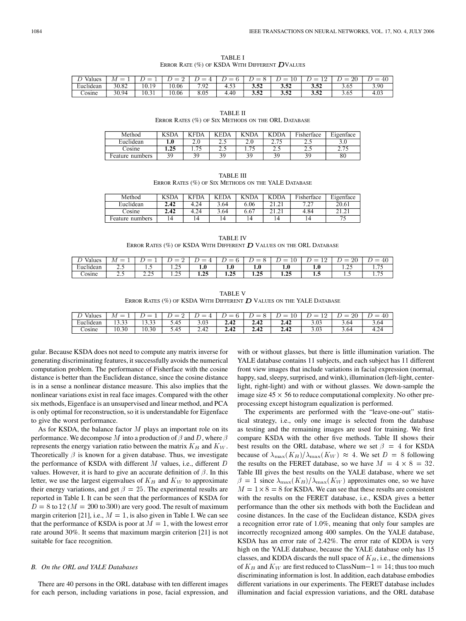<span id="page-3-0"></span>

| Values   | _<br>ΙИ    | $\overline{\phantom{a}}$ | $\overline{\phantom{a}}$ | $\overline{\phantom{a}}$     | $\overline{\phantom{a}}$ | $\overline{\phantom{a}}$<br>_ | $\overline{\phantom{a}}$<br>$\sim$   | $\overline{\phantom{a}}$           | ാ∩<br>$\overline{\phantom{a}}$<br>- | $\overline{\phantom{a}}$<br>±v |
|----------|------------|--------------------------|--------------------------|------------------------------|--------------------------|-------------------------------|--------------------------------------|------------------------------------|-------------------------------------|--------------------------------|
| Euchdean | 30.82      | 1 0<br>$\cdot$ 0.1       | -<br>0.06                | $\alpha$<br>$\cdot$ / $\sim$ | .                        | $\overline{ }$<br>⊿ت⊿ف        | <br>$\overline{\phantom{a}}$<br>9.34 | $\overline{\phantom{a}}$<br>ے بی ر | 3.02                                | . 9C                           |
| osine    | QΔ<br>10.> | 10.3                     | 0.06                     | Λ.<br>v.v.                   | 41                       | سىن                           | - -<br>J.JA                          | - -<br>⊿د∙ر                        | 3.63                                | 1.U3                           |

TABLE I ERROR RATE  $(\%)$  OF KSDA WITH DIFFERENT  $D$ VALUES

TABLE II ERROR RATES (%) OF SIX METHODS ON THE ORL DATABASE

| Method          | $\sqrt{SDA}$ | $"FDA$ .                 | EDA.  | <b>KNDA</b>         | $\overline{V}$ DDA . | $-1$<br>Fisherface | $\sim$<br>Eigenface |
|-----------------|--------------|--------------------------|-------|---------------------|----------------------|--------------------|---------------------|
| Euclidean       | 1.v          | 2.v                      | ر . ب | <b>LA</b>           | - -<br>، ، ،         | ن. ت               | J.V                 |
| osine.          | . 23         | $\overline{\phantom{a}}$ | ں ، ب | .<br>. . <i>. .</i> | ن . ب                | ن ک                | ں انگ               |
| Feature numbers |              |                          |       |                     |                      |                    | δU                  |

TABLE III ERROR RATES (%) OF SIX METHODS ON THE YALE DATABASE

| Method          | 7SDA | <b>KFDA</b> | <b>KEDA</b> | <b>KNDA</b> | v<br>ר - DA              | $\cdots$<br>Fisherface             | Eigenface |
|-----------------|------|-------------|-------------|-------------|--------------------------|------------------------------------|-----------|
| Euclidean       | 2.42 | 4.24        | 3.64        | 6.06        | $-$                      | $\sim$<br>$\overline{\phantom{0}}$ | 20.61     |
| osine.          | 2.42 | 4.24        |             | 0.0.        | $\overline{\phantom{a}}$ | 4.84                               | $-$       |
| Feature numbers |      | 14          |             |             |                          |                                    |           |

TABLE IV ERROR RATES (%) OF KSDA WITH DIFFERENT  $\boldsymbol{D}$  Values on the ORL DATABASE

| alues/    | $\overline{\phantom{a}}$<br>$\overline{\phantom{a}}$<br>2 V 2 | _<br>__ | _<br>-                   | _<br>$\overline{\phantom{a}}$ | _<br>-   | __            | $\overline{\phantom{a}}$<br>_<br>ΤC | _<br>$\overline{\phantom{a}}$<br>-- | ഹ            | $\overline{\phantom{a}}$<br>$\overline{\phantom{a}}$<br>ΞU |
|-----------|---------------------------------------------------------------|---------|--------------------------|-------------------------------|----------|---------------|-------------------------------------|-------------------------------------|--------------|------------------------------------------------------------|
| Euclidean | .                                                             | .       | $\overline{\phantom{a}}$ | .                             | $\cdots$ | $\mathbf{.0}$ | 1.U                                 | 10 U                                | ~<br>ن سے مق | $\cdots$                                                   |
| osine     | .                                                             | ن ڪي ڪ  | . . <u>.</u>             | - -                           | . .<br>. | ---           | $\overline{\phantom{a}}$<br>ن مد    | . .                                 | $\cdots$     | .                                                          |

TABLE V ERROR RATES (%) OF KSDA WITH DIFFERENT  $D$  VALUES ON THE YALE DATABASE

| Values<br>∸                 | $\overline{\phantom{a}}$<br>-    | _<br>_                             | _<br>--<br>- | $-$<br>$\overline{\phantom{a}}$ | _<br>_ | _<br>$-$<br>- | _<br>ΞU<br>- | -<br>_<br>$\hspace{0.05cm}$<br>- | റ്<br>_<br>$-1$         | _<br>4U<br>$\overline{\phantom{a}}$ |
|-----------------------------|----------------------------------|------------------------------------|--------------|---------------------------------|--------|---------------|--------------|----------------------------------|-------------------------|-------------------------------------|
| $\blacksquare$<br>Euclidean | $\sim$ $\sim$<br>$\sim$<br>,,,,, | $\sim$ $\sim$<br>$\sim$<br>ر ر.ر ر | D.4D         | $\sim$<br>9.US                  | 4.44   |               | .            | 3.V3.                            | $3.6^\rho$              | 3.64                                |
| osine.                      | 10.30                            | 10.5<br>30                         | D.4D         | 4<br><b>_.</b><br>- 14          | 4.74   | ---           | 4.74         | 3.VJ                             | h.<br>$\cup \cdot \cup$ | ∙.∠4<br>                            |

gular. Because KSDA does not need to compute any matrix inverse for generating discriminating features, it successfully avoids the numerical computation problem. The performance of Fisherface with the cosine distance is better than the Euclidean distance, since the cosine distance is in a sense a nonlinear distance measure. This also implies that the nonlinear variations exist in real face images. Compared with the other six methods, Eigenface is an unsupervised and linear method, and PCA is only optimal for reconstruction, so it is understandable for Eigenface to give the worst performance.

As for KSDA, the balance factor  $M$  plays an important role on its performance. We decompose M into a production of  $\beta$  and D, where  $\beta$ represents the energy variation ratio between the matrix  $K_B$  and  $K_W$ . Theoretically  $\beta$  is known for a given database. Thus, we investigate the performance of KSDA with different  $M$  values, i.e., different  $D$ values. However, it is hard to give an accurate definition of  $\beta$ . In this letter, we use the largest eigenvalues of  $K_B$  and  $K_W$  to approximate their energy variations, and get  $\beta = 25$ . The experimental results are reported in Table I. It can be seen that the performances of KSDA for  $D = 8$  to 12 ( $M = 200$  to 300) are very good. The result of maximum margin criterion [\[21\],](#page-4-0) i.e.,  $M = 1$ , is also given in Table I. We can see that the performance of KSDA is poor at  $M = 1$ , with the lowest error rate around 30%. It seems that maximum margin criterion [\[21\]](#page-4-0) is not suitable for face recognition.

### *B. On the ORL and YALE Databases*

There are 40 persons in the ORL database with ten different images for each person, including variations in pose, facial expression, and

with or without glasses, but there is little illumination variation. The YALE database contains 11 subjects, and each subject has 11 different front view images that include variations in facial expression (normal, happy, sad, sleepy, surprised, and wink), illumination (left-light, centerlight, right-light) and with or without glasses. We down-sample the image size  $45 \times 56$  to reduce computational complexity. No other preprocessing except histogram equalization is performed.

The experiments are performed with the "leave-one-out" statistical strategy, i.e., only one image is selected from the database as testing and the remaining images are used for training. We first compare KSDA with the other five methods. Table II shows their best results on the ORL database, where we set  $\beta = 4$  for KSDA because of  $\lambda_{\text{max}}(K_B)/\lambda_{\text{max}}(K_W) \approx 4$ . We set  $D = 8$  following the results on the FERET database, so we have  $M = 4 \times 8 = 32$ . Table III gives the best results on the YALE database, where we set  $\beta = 1$  since  $\lambda_{\text{max}}(K_B)/\lambda_{\text{max}}(K_W)$  approximates one, so we have  $M = 1 \times 8 = 8$  for KSDA. We can see that these results are consistent with the results on the FERET database, i.e., KSDA gives a better performance than the other six methods with both the Euclidean and cosine distances. In the case of the Euclidean distance, KSDA gives a recognition error rate of 1.0%, meaning that only four samples are incorrectly recognized among 400 samples. On the YALE database, KSDA has an error rate of 2.42%. The error rate of KDDA is very high on the YALE database, because the YALE database only has 15 classes, and KDDA discards the null space of  $K_B$ , i.e., the dimensions of  $K_B$  and  $K_W$  are first reduced to ClassNum - 1 = 14; thus too much discriminating information is lost. In addition, each database embodies different variations in our experiments. The FERET database includes illumination and facial expression variations, and the ORL database